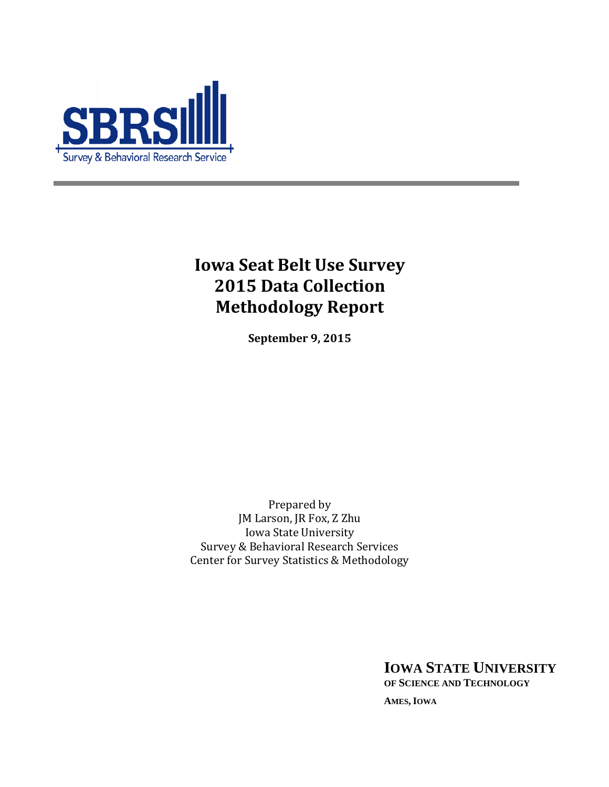

# **Iowa Seat Belt Use Survey 2015 Data Collection Methodology Report**

**September 9, 2015**

Prepared by JM Larson, JR Fox, Z Zhu Iowa State University Survey & Behavioral Research Services Center for Survey Statistics & Methodology

**IOWA STATE UNIVERSITY**

**OF SCIENCE AND TECHNOLOGY**

**AMES, IOWA**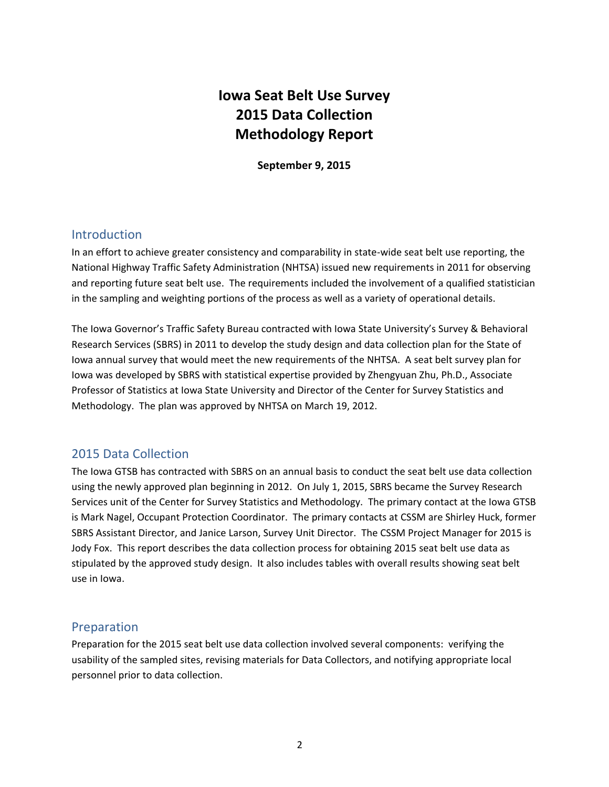# **Iowa Seat Belt Use Survey 2015 Data Collection Methodology Report**

**September 9, 2015**

# Introduction

In an effort to achieve greater consistency and comparability in state-wide seat belt use reporting, the National Highway Traffic Safety Administration (NHTSA) issued new requirements in 2011 for observing and reporting future seat belt use. The requirements included the involvement of a qualified statistician in the sampling and weighting portions of the process as well as a variety of operational details.

The Iowa Governor's Traffic Safety Bureau contracted with Iowa State University's Survey & Behavioral Research Services (SBRS) in 2011 to develop the study design and data collection plan for the State of Iowa annual survey that would meet the new requirements of the NHTSA. A seat belt survey plan for Iowa was developed by SBRS with statistical expertise provided by Zhengyuan Zhu, Ph.D., Associate Professor of Statistics at Iowa State University and Director of the Center for Survey Statistics and Methodology. The plan was approved by NHTSA on March 19, 2012.

# 2015 Data Collection

The Iowa GTSB has contracted with SBRS on an annual basis to conduct the seat belt use data collection using the newly approved plan beginning in 2012. On July 1, 2015, SBRS became the Survey Research Services unit of the Center for Survey Statistics and Methodology. The primary contact at the Iowa GTSB is Mark Nagel, Occupant Protection Coordinator. The primary contacts at CSSM are Shirley Huck, former SBRS Assistant Director, and Janice Larson, Survey Unit Director. The CSSM Project Manager for 2015 is Jody Fox. This report describes the data collection process for obtaining 2015 seat belt use data as stipulated by the approved study design. It also includes tables with overall results showing seat belt use in Iowa.

# Preparation

Preparation for the 2015 seat belt use data collection involved several components: verifying the usability of the sampled sites, revising materials for Data Collectors, and notifying appropriate local personnel prior to data collection.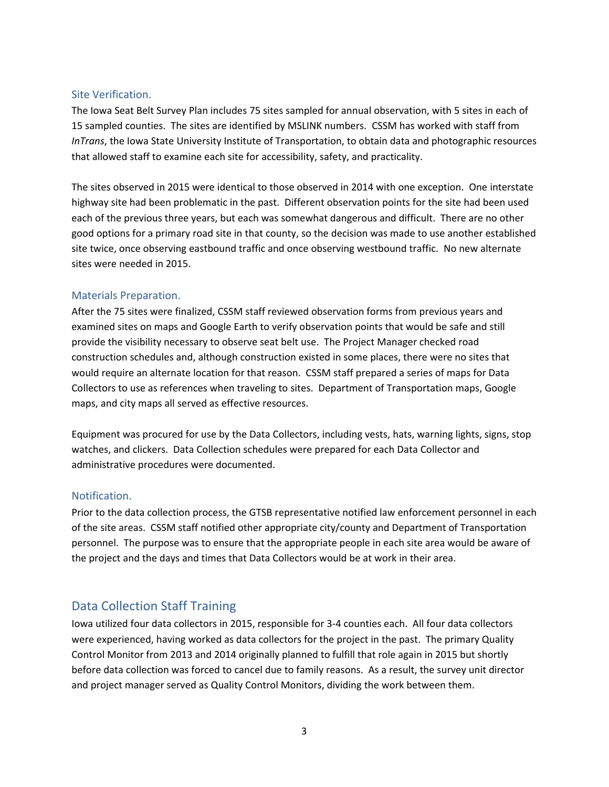#### Site Verification.

The Iowa Seat Belt Survey Plan includes 75 sites sampled for annual observation, with 5 sites in each of 15 sampled counties. The sites are identified by MSLINK numbers. CSSM has worked with staff from *InTrans*, the Iowa State University Institute of Transportation, to obtain data and photographic resources that allowed staff to examine each site for accessibility, safety, and practicality.

The sites observed in 2015 were identical to those observed in 2014 with one exception. One interstate highway site had been problematic in the past. Different observation points for the site had been used each of the previous three years, but each was somewhat dangerous and difficult. There are no other good options for a primary road site in that county, so the decision was made to use another established site twice, once observing eastbound traffic and once observing westbound traffic. No new alternate sites were needed in 2015.

#### Materials Preparation.

After the 75 sites were finalized, CSSM staff reviewed observation forms from previous years and examined sites on maps and Google Earth to verify observation points that would be safe and still provide the visibility necessary to observe seat belt use. The Project Manager checked road construction schedules and, although construction existed in some places, there were no sites that would require an alternate location for that reason. CSSM staff prepared a series of maps for Data Collectors to use as references when traveling to sites. Department of Transportation maps, Google maps, and city maps all served as effective resources.

Equipment was procured for use by the Data Collectors, including vests, hats, warning lights, signs, stop watches, and clickers. Data Collection schedules were prepared for each Data Collector and administrative procedures were documented.

#### Notification.

Prior to the data collection process, the GTSB representative notified law enforcement personnel in each of the site areas. CSSM staff notified other appropriate city/county and Department of Transportation personnel. The purpose was to ensure that the appropriate people in each site area would be aware of the project and the days and times that Data Collectors would be at work in their area.

# Data Collection Staff Training

Iowa utilized four data collectors in 2015, responsible for 3-4 counties each. All four data collectors were experienced, having worked as data collectors for the project in the past. The primary Quality Control Monitor from 2013 and 2014 originally planned to fulfill that role again in 2015 but shortly before data collection was forced to cancel due to family reasons. As a result, the survey unit director and project manager served as Quality Control Monitors, dividing the work between them.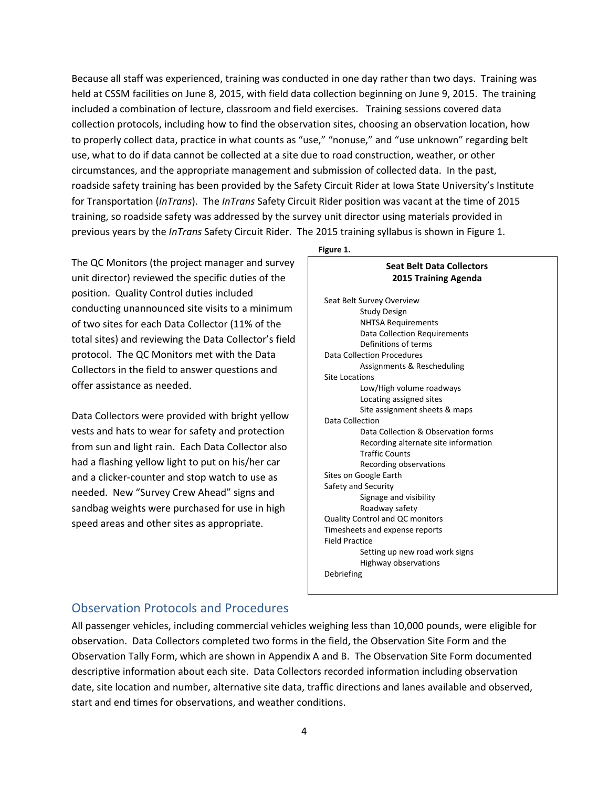Because all staff was experienced, training was conducted in one day rather than two days. Training was held at CSSM facilities on June 8, 2015, with field data collection beginning on June 9, 2015. The training included a combination of lecture, classroom and field exercises. Training sessions covered data collection protocols, including how to find the observation sites, choosing an observation location, how to properly collect data, practice in what counts as "use," "nonuse," and "use unknown" regarding belt use, what to do if data cannot be collected at a site due to road construction, weather, or other circumstances, and the appropriate management and submission of collected data. In the past, roadside safety training has been provided by the Safety Circuit Rider at Iowa State University's Institute for Transportation (*InTrans*). The *InTrans* Safety Circuit Rider position was vacant at the time of 2015 training, so roadside safety was addressed by the survey unit director using materials provided in previous years by the *InTrans* Safety Circuit Rider. The 2015 training syllabus is shown in Figure 1.

The QC Monitors (the project manager and survey unit director) reviewed the specific duties of the position. Quality Control duties included conducting unannounced site visits to a minimum of two sites for each Data Collector (11% of the total sites) and reviewing the Data Collector's field protocol. The QC Monitors met with the Data Collectors in the field to answer questions and offer assistance as needed.

Data Collectors were provided with bright yellow vests and hats to wear for safety and protection from sun and light rain. Each Data Collector also had a flashing yellow light to put on his/her car and a clicker-counter and stop watch to use as needed. New "Survey Crew Ahead" signs and sandbag weights were purchased for use in high speed areas and other sites as appropriate.

#### **Figure 1.**

# **Seat Belt Data Collectors 2015 Training Agenda** Seat Belt Survey Overview

| <b>SCAL DEIL SALVEY OVERVIEW</b>       |  |
|----------------------------------------|--|
| <b>Study Design</b>                    |  |
| <b>NHTSA Requirements</b>              |  |
| Data Collection Requirements           |  |
| Definitions of terms                   |  |
| Data Collection Procedures             |  |
| Assignments & Rescheduling             |  |
| Site Locations                         |  |
| Low/High volume roadways               |  |
| Locating assigned sites                |  |
| Site assignment sheets & maps          |  |
| Data Collection                        |  |
| Data Collection & Observation forms    |  |
| Recording alternate site information   |  |
| <b>Traffic Counts</b>                  |  |
| Recording observations                 |  |
| Sites on Google Earth                  |  |
| Safety and Security                    |  |
| Signage and visibility                 |  |
| Roadway safety                         |  |
| <b>Quality Control and QC monitors</b> |  |
| Timesheets and expense reports         |  |
| <b>Field Practice</b>                  |  |
| Setting up new road work signs         |  |
| Highway observations                   |  |
| Debriefing                             |  |
|                                        |  |

#### Observation Protocols and Procedures

All passenger vehicles, including commercial vehicles weighing less than 10,000 pounds, were eligible for observation. Data Collectors completed two forms in the field, the Observation Site Form and the Observation Tally Form, which are shown in Appendix A and B. The Observation Site Form documented descriptive information about each site. Data Collectors recorded information including observation date, site location and number, alternative site data, traffic directions and lanes available and observed, start and end times for observations, and weather conditions.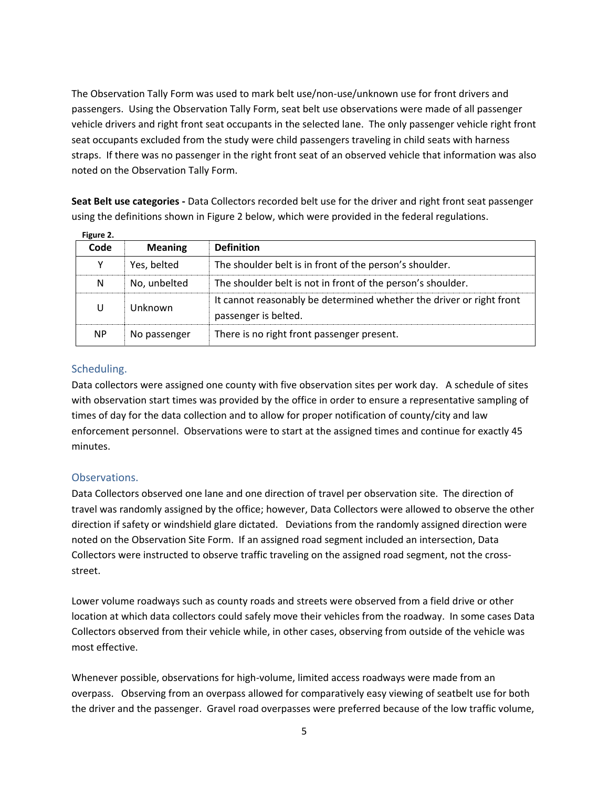The Observation Tally Form was used to mark belt use/non-use/unknown use for front drivers and passengers. Using the Observation Tally Form, seat belt use observations were made of all passenger vehicle drivers and right front seat occupants in the selected lane. The only passenger vehicle right front seat occupants excluded from the study were child passengers traveling in child seats with harness straps. If there was no passenger in the right front seat of an observed vehicle that information was also noted on the Observation Tally Form.

**Seat Belt use categories -** Data Collectors recorded belt use for the driver and right front seat passenger using the definitions shown in Figure 2 below, which were provided in the federal regulations.

| Figure 2. |                |                                                                                              |
|-----------|----------------|----------------------------------------------------------------------------------------------|
| Code      | <b>Meaning</b> | <b>Definition</b>                                                                            |
|           | Yes, belted    | The shoulder belt is in front of the person's shoulder.                                      |
| N         | No, unbelted   | The shoulder belt is not in front of the person's shoulder.                                  |
| U         | Unknown        | It cannot reasonably be determined whether the driver or right front<br>passenger is belted. |
| NP        | No passenger   | There is no right front passenger present.                                                   |

Scheduling.

Data collectors were assigned one county with five observation sites per work day. A schedule of sites with observation start times was provided by the office in order to ensure a representative sampling of times of day for the data collection and to allow for proper notification of county/city and law enforcement personnel. Observations were to start at the assigned times and continue for exactly 45 minutes.

#### Observations.

Data Collectors observed one lane and one direction of travel per observation site. The direction of travel was randomly assigned by the office; however, Data Collectors were allowed to observe the other direction if safety or windshield glare dictated. Deviations from the randomly assigned direction were noted on the Observation Site Form. If an assigned road segment included an intersection, Data Collectors were instructed to observe traffic traveling on the assigned road segment, not the crossstreet.

Lower volume roadways such as county roads and streets were observed from a field drive or other location at which data collectors could safely move their vehicles from the roadway. In some cases Data Collectors observed from their vehicle while, in other cases, observing from outside of the vehicle was most effective.

Whenever possible, observations for high-volume, limited access roadways were made from an overpass. Observing from an overpass allowed for comparatively easy viewing of seatbelt use for both the driver and the passenger. Gravel road overpasses were preferred because of the low traffic volume,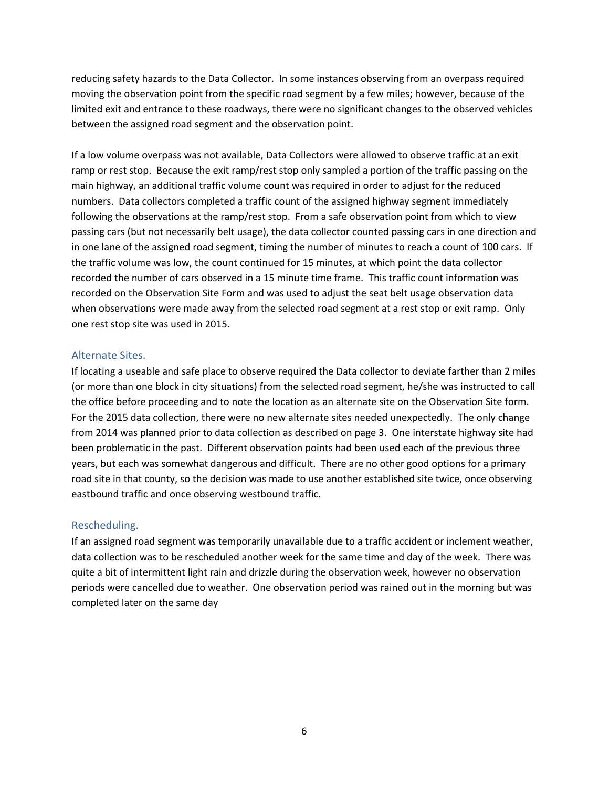reducing safety hazards to the Data Collector. In some instances observing from an overpass required moving the observation point from the specific road segment by a few miles; however, because of the limited exit and entrance to these roadways, there were no significant changes to the observed vehicles between the assigned road segment and the observation point.

If a low volume overpass was not available, Data Collectors were allowed to observe traffic at an exit ramp or rest stop. Because the exit ramp/rest stop only sampled a portion of the traffic passing on the main highway, an additional traffic volume count was required in order to adjust for the reduced numbers. Data collectors completed a traffic count of the assigned highway segment immediately following the observations at the ramp/rest stop. From a safe observation point from which to view passing cars (but not necessarily belt usage), the data collector counted passing cars in one direction and in one lane of the assigned road segment, timing the number of minutes to reach a count of 100 cars. If the traffic volume was low, the count continued for 15 minutes, at which point the data collector recorded the number of cars observed in a 15 minute time frame. This traffic count information was recorded on the Observation Site Form and was used to adjust the seat belt usage observation data when observations were made away from the selected road segment at a rest stop or exit ramp. Only one rest stop site was used in 2015.

#### Alternate Sites.

If locating a useable and safe place to observe required the Data collector to deviate farther than 2 miles (or more than one block in city situations) from the selected road segment, he/she was instructed to call the office before proceeding and to note the location as an alternate site on the Observation Site form. For the 2015 data collection, there were no new alternate sites needed unexpectedly. The only change from 2014 was planned prior to data collection as described on page 3. One interstate highway site had been problematic in the past. Different observation points had been used each of the previous three years, but each was somewhat dangerous and difficult. There are no other good options for a primary road site in that county, so the decision was made to use another established site twice, once observing eastbound traffic and once observing westbound traffic.

#### Rescheduling.

If an assigned road segment was temporarily unavailable due to a traffic accident or inclement weather, data collection was to be rescheduled another week for the same time and day of the week. There was quite a bit of intermittent light rain and drizzle during the observation week, however no observation periods were cancelled due to weather. One observation period was rained out in the morning but was completed later on the same day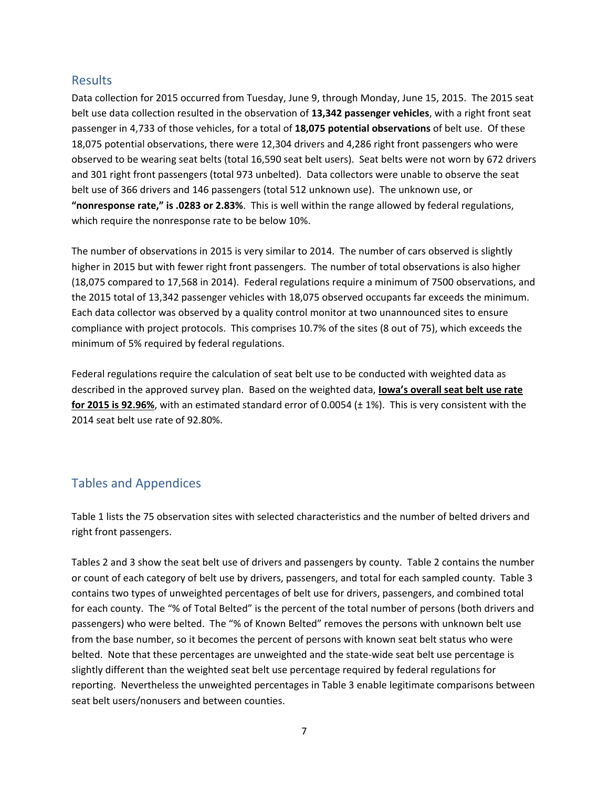#### Results

Data collection for 2015 occurred from Tuesday, June 9, through Monday, June 15, 2015. The 2015 seat belt use data collection resulted in the observation of **13,342 passenger vehicles**, with a right front seat passenger in 4,733 of those vehicles, for a total of **18,075 potential observations** of belt use. Of these 18,075 potential observations, there were 12,304 drivers and 4,286 right front passengers who were observed to be wearing seat belts (total 16,590 seat belt users). Seat belts were not worn by 672 drivers and 301 right front passengers (total 973 unbelted). Data collectors were unable to observe the seat belt use of 366 drivers and 146 passengers (total 512 unknown use). The unknown use, or **"nonresponse rate," is .0283 or 2.83%**. This is well within the range allowed by federal regulations, which require the nonresponse rate to be below 10%.

The number of observations in 2015 is very similar to 2014. The number of cars observed is slightly higher in 2015 but with fewer right front passengers. The number of total observations is also higher (18,075 compared to 17,568 in 2014). Federal regulations require a minimum of 7500 observations, and the 2015 total of 13,342 passenger vehicles with 18,075 observed occupants far exceeds the minimum. Each data collector was observed by a quality control monitor at two unannounced sites to ensure compliance with project protocols. This comprises 10.7% of the sites (8 out of 75), which exceeds the minimum of 5% required by federal regulations.

Federal regulations require the calculation of seat belt use to be conducted with weighted data as described in the approved survey plan. Based on the weighted data, **Iowa's overall seat belt use rate for 2015 is 92.96%**, with an estimated standard error of 0.0054 (± 1%). This is very consistent with the 2014 seat belt use rate of 92.80%.

# Tables and Appendices

Table 1 lists the 75 observation sites with selected characteristics and the number of belted drivers and right front passengers.

Tables 2 and 3 show the seat belt use of drivers and passengers by county. Table 2 contains the number or count of each category of belt use by drivers, passengers, and total for each sampled county. Table 3 contains two types of unweighted percentages of belt use for drivers, passengers, and combined total for each county. The "% of Total Belted" is the percent of the total number of persons (both drivers and passengers) who were belted. The "% of Known Belted" removes the persons with unknown belt use from the base number, so it becomes the percent of persons with known seat belt status who were belted. Note that these percentages are unweighted and the state-wide seat belt use percentage is slightly different than the weighted seat belt use percentage required by federal regulations for reporting. Nevertheless the unweighted percentages in Table 3 enable legitimate comparisons between seat belt users/nonusers and between counties.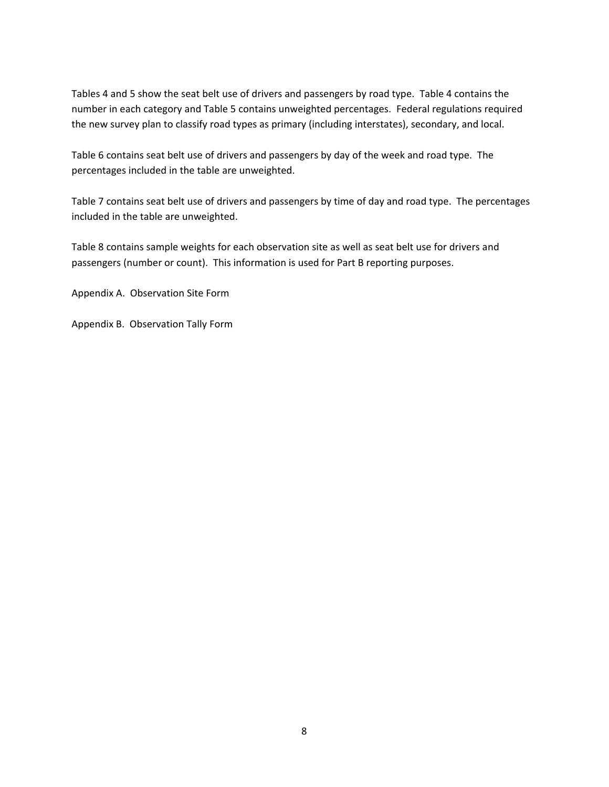Tables 4 and 5 show the seat belt use of drivers and passengers by road type. Table 4 contains the number in each category and Table 5 contains unweighted percentages. Federal regulations required the new survey plan to classify road types as primary (including interstates), secondary, and local.

Table 6 contains seat belt use of drivers and passengers by day of the week and road type. The percentages included in the table are unweighted.

Table 7 contains seat belt use of drivers and passengers by time of day and road type. The percentages included in the table are unweighted.

Table 8 contains sample weights for each observation site as well as seat belt use for drivers and passengers (number or count). This information is used for Part B reporting purposes.

Appendix A. Observation Site Form

Appendix B. Observation Tally Form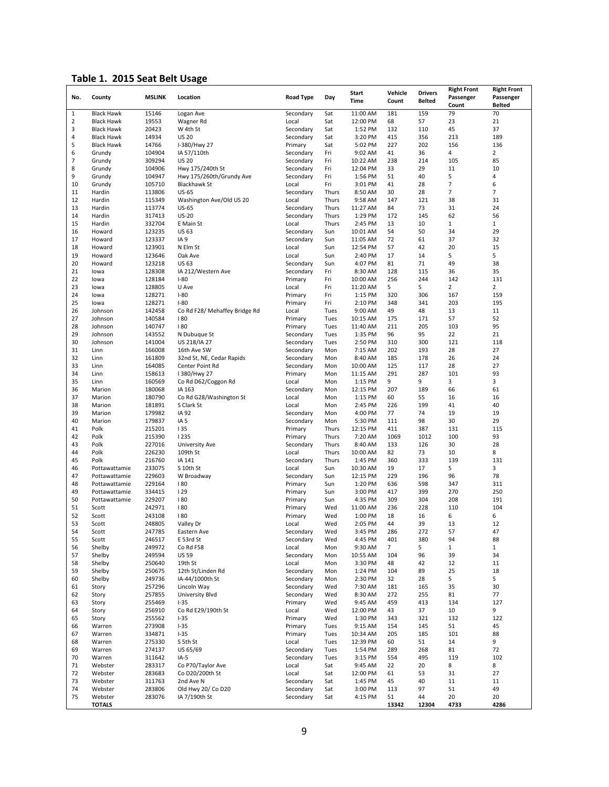# **Table 1. 2015 Seat Belt Usage**

|              |                   |               |                               |                  |       | <b>Start</b> | Vehicle | <b>Drivers</b> | <b>Right Front</b> | <b>Right Front</b> |
|--------------|-------------------|---------------|-------------------------------|------------------|-------|--------------|---------|----------------|--------------------|--------------------|
| No.          | County            | <b>MSLINK</b> | Location                      | <b>Road Type</b> | Day   | <b>Time</b>  | Count   | <b>Belted</b>  | Passenger          | Passenger          |
|              |                   |               |                               |                  |       |              |         |                | Count              | <b>Belted</b>      |
| $\mathbf{1}$ | <b>Black Hawk</b> | 15146         | Logan Ave                     | Secondary        | Sat   | 11:00 AM     | 181     | 159            | 79                 | 70                 |
| 2            | <b>Black Hawk</b> | 19553         | Wagner Rd                     | Local            | Sat   | 12:00 PM     | 68      | 57             | 23                 | 21                 |
| 3            | <b>Black Hawk</b> | 20423         | W 4th St                      | Secondary        | Sat   | 1:52 PM      | 132     | 110            | 45                 | 37                 |
| 4            | <b>Black Hawk</b> | 14934         | <b>US 20</b>                  | Secondary        | Sat   | 3:20 PM      | 415     | 356            | 213                | 189                |
| 5            | <b>Black Hawk</b> | 14766         | I-380/Hwy 27                  | Primary          | Sat   | 5:02 PM      | 227     | 202            | 156                | 136                |
| 6            | Grundy            | 104904        | IA 57/110th                   | Secondary        | Fri   | 9:02 AM      | 41      | 36             | 4                  | $\overline{2}$     |
| 7            | Grundy            | 309294        | <b>US 20</b>                  | Secondary        | Fri   | 10:22 AM     | 238     | 214            | 105                | 85                 |
| 8            | Grundy            | 104906        | Hwy 175/240th St              | Secondary        | Fri   | 12:04 PM     | 33      | 29             | 11                 | 10                 |
| 9            | Grundy            | 104947        | Hwy 175/260th/Grundy Ave      | Secondary        | Fri   | 1:56 PM      | 51      | 40             | 5                  | 4                  |
| 10           |                   |               |                               |                  | Fri   | 3:01 PM      | 41      | 28             | 7                  | 6                  |
|              | Grundy            | 105710        | <b>Blackhawk St</b>           | Local            |       |              |         |                |                    |                    |
| 11           | Hardin            | 113806        | <b>US-65</b>                  | Secondary        | Thurs | 8:50 AM      | 30      | 28             | 7                  | $\overline{7}$     |
| 12           | Hardin            | 115349        | Washington Ave/Old US 20      | Local            | Thurs | 9:58 AM      | 147     | 121            | 38                 | 31                 |
| 13           | Hardin            | 113774        | <b>US-65</b>                  | Secondary        | Thurs | 11:27 AM     | 84      | 73             | 31                 | 24                 |
| 14           | Hardin            | 317413        | <b>US-20</b>                  | Secondary        | Thurs | 1:29 PM      | 172     | 145            | 62                 | 56                 |
| 15           | Hardin            | 332704        | E Main St                     | Local            | Thurs | 2:45 PM      | 13      | 10             | $\mathbf{1}$       | $\mathbf{1}$       |
| 16           | Howard            | 123235        | <b>US 63</b>                  | Secondary        | Sun   | 10:01 AM     | 54      | 50             | 34                 | 29                 |
| 17           | Howard            | 123337        | IA <sub>9</sub>               | Secondary        | Sun   | 11:05 AM     | 72      | 61             | 37                 | 32                 |
| 18           | Howard            | 123901        | N Elm St                      | Local            | Sun   | 12:54 PM     | 57      | 42             | 20                 | 15                 |
| 19           | Howard            | 123646        | Oak Ave                       | Local            | Sun   | 2:40 PM      | 17      | 14             | 5                  | 5                  |
| 20           | Howard            | 123218        | <b>US 63</b>                  | Secondary        | Sun   | 4:07 PM      | 81      | 71             | 49                 | 38                 |
| 21           | lowa              | 128308        | IA 212/Western Ave            | Secondary        | Fri   | 8:30 AM      | 128     | 115            | 36                 | 35                 |
| 22           | lowa              | 128184        | $I-80$                        | Primary          | Fri   | 10:00 AM     | 256     | 244            | 142                | 131                |
|              |                   | 128805        |                               |                  |       |              |         |                |                    |                    |
| 23           | lowa              |               | U Ave                         | Local            | Fri   | 11:20 AM     | 5       | 5              | 2                  | $\overline{2}$     |
| 24           | lowa              | 128271        | $I-80$                        | Primary          | Fri   | 1:15 PM      | 320     | 306            | 167                | 159                |
| 25           | lowa              | 128271        | $I-80$                        | Primary          | Fri   | 2:10 PM      | 348     | 341            | 203                | 195                |
| 26           | Johnson           | 142458        | Co Rd F28/ Mehaffey Bridge Rd | Local            | Tues  | 9:00 AM      | 49      | 48             | 13                 | 11                 |
| 27           | Johnson           | 140584        | 180                           | Primary          | Tues  | 10:15 AM     | 175     | 171            | 57                 | 52                 |
| 28           | Johnson           | 140747        | 180                           | Primary          | Tues  | 11:40 AM     | 211     | 205            | 103                | 95                 |
| 29           | Johnson           | 143552        | N Dubuque St                  | Secondary        | Tues  | 1:35 PM      | 96      | 95             | 22                 | 21                 |
| 30           | Johnson           | 141004        | US 218/IA 27                  | Secondary        | Tues  | 2:50 PM      | 310     | 300            | 121                | 118                |
| 31           | Linn              | 166008        | 16th Ave SW                   | Secondary        | Mon   | 7:15 AM      | 202     | 193            | 28                 | 27                 |
| 32           | Linn              | 161809        | 32nd St, NE, Cedar Rapids     | Secondary        | Mon   | 8:40 AM      | 185     | 178            | 26                 | 24                 |
| 33           | Linn              | 164085        | Center Point Rd               | Secondary        | Mon   | 10:00 AM     | 125     | 117            | 28                 | 27                 |
| 34           | Linn              | 158613        | I 380/Hwy 27                  | Primary          | Mon   | 11:15 AM     | 291     | 287            | 101                | 93                 |
| 35           | Linn              | 160569        | Co Rd D62/Coggon Rd           |                  | Mon   |              | 9       | 9              | 3                  | 3                  |
|              |                   |               |                               | Local            |       | 1:15 PM      |         |                |                    |                    |
| 36           | Marion            | 180068        | IA 163                        | Secondary        | Mon   | 12:15 PM     | 207     | 189            | 66                 | 61                 |
| 37           | Marion            | 180790        | Co Rd G28/Washington St       | Local            | Mon   | 1:15 PM      | 60      | 55             | 16                 | 16                 |
| 38           | Marion            | 181891        | S Clark St                    | Local            | Mon   | 2:45 PM      | 226     | 199            | 41                 | 40                 |
| 39           | Marion            | 179982        | IA 92                         | Secondary        | Mon   | 4:00 PM      | 77      | 74             | 19                 | 19                 |
| 40           | Marion            | 179837        | IA <sub>5</sub>               | Secondary        | Mon   | 5:30 PM      | 111     | 98             | 30                 | 29                 |
| 41           | Polk              | 215201        | 135                           | Primary          | Thurs | 12:15 PM     | 411     | 387            | 131                | 115                |
| 42           | Polk              | 215390        | <b>1235</b>                   | Primary          | Thurs | 7:20 AM      | 1069    | 1012           | 100                | 93                 |
| 43           | Polk              | 227016        | University Ave                | Secondary        | Thurs | 8:40 AM      | 133     | 126            | 30                 | 28                 |
| 44           | Polk              | 226230        | 109th St                      | Local            | Thurs | 10:00 AM     | 82      | 73             | 10                 | 8                  |
| 45           | Polk              | 216760        | IA 141                        | Secondary        | Thurs | 1:45 PM      | 360     | 333            | 139                | 131                |
| 46           | Pottawattamie     | 233075        | S 10th St                     | Local            | Sun   | 10:30 AM     | 19      | 17             | 5                  | 3                  |
| 47           | Pottawattamie     | 229603        | W Broadway                    | Secondary        | Sun   | 12:15 PM     | 229     | 196            | 96                 | 78                 |
| 48           | Pottawattamie     | 229164        | 180                           | Primary          | Sun   | 1:20 PM      | 636     | 598            | 347                | 311                |
| 49           |                   | 334415        | 129                           |                  | Sun   |              | 417     | 399            | 270                | 250                |
|              | Pottawattamie     |               |                               | Primary          |       | 3:00 PM      |         |                |                    |                    |
| 50           | Pottawattamie     | 229207        | 180                           | Primary          | Sun   | 4:35 PM      | 309     | 304            | 208                | 191                |
| 51           | Scott             | 242971        | 180                           | Primary          | Wed   | 11:00 AM     | 236     | 228            | 110                | 104                |
| 52           | Scott             | 243108        | 180                           | Primary          | Wed   | 1:00 PM      | 18      | 16             | 6                  | 6                  |
| 53           | Scott             | 248805        | Valley Dr                     | Local            | Wed   | 2:05 PM      | 44      | 39             | 13                 | 12                 |
| 54           | Scott             | 247785        | Eastern Ave                   | Secondary        | Wed   | 3:45 PM      | 286     | 272            | 57                 | 47                 |
| 55           | Scott             | 246517        | E 53rd St                     | Secondary        | Wed   | 4:45 PM      | 401     | 380            | 94                 | 88                 |
| 56           | Shelby            | 249972        | Co Rd F58                     | Local            | Mon   | 9:30 AM      | 7       | 5              | $\mathbf{1}$       | $\mathbf{1}$       |
| 57           | Shelby            | 249594        | <b>US 59</b>                  | Secondary        | Mon   | 10:55 AM     | 104     | 96             | 39                 | 34                 |
| 58           | Shelby            | 250640        | 19th St                       | Local            | Mon   | 3:30 PM      | 48      | 42             | 12                 | 11                 |
| 59           | Shelby            | 250675        | 12th St/Linden Rd             | Secondary        | Mon   | 1:24 PM      | 104     | 89             | 25                 | 18                 |
| 60           | Shelby            | 249736        | IA-44/1000th St               | Secondary        | Mon   | 2:30 PM      | 32      | 28             | 5                  | 5                  |
| 61           | Story             | 257296        | Lincoln Way                   | Secondary        | Wed   | 7:30 AM      | 181     | 165            | 35                 | 30                 |
| 62           | Story             | 257855        | University Blvd               | Secondary        | Wed   | 8:30 AM      | 272     | 255            | 81                 | 77                 |
| 63           | Story             | 255469        | $1 - 35$                      | Primary          | Wed   | 9:45 AM      | 459     | 413            | 134                | 127                |
|              |                   |               |                               |                  |       |              |         |                |                    |                    |
| 64           | Story             | 256910        | Co Rd E29/190th St            | Local            | Wed   | 12:00 PM     | 43      | 37             | 10                 | 9                  |
| 65           | Story             | 255562        | $1 - 35$                      | Primary          | Wed   | 1:30 PM      | 343     | 321            | 132                | 122                |
| 66           | Warren            | 273908        | $1 - 35$                      | Primary          | Tues  | 9:15 AM      | 154     | 145            | 51                 | 45                 |
| 67           | Warren            | 334871        | $1 - 35$                      | Primary          | Tues  | 10:34 AM     | 205     | 185            | 101                | 88                 |
| 68           | Warren            | 275330        | S 5th St                      | Local            | Tues  | 12:39 PM     | 60      | 51             | 14                 | 9                  |
| 69           | Warren            | 274137        | US 65/69                      | Secondary        | Tues  | 1:54 PM      | 289     | 268            | 81                 | 72                 |
| 70           | Warren            | 311642        | $IA-5$                        | Secondary        | Tues  | 3:15 PM      | 554     | 495            | 119                | 102                |
| 71           | Webster           | 283317        | Co P70/Taylor Ave             | Local            | Sat   | 9:45 AM      | 22      | 20             | 8                  | 8                  |
| 72           | Webster           | 283683        | Co D20/200th St               | Local            | Sat   | 12:00 PM     | 61      | 53             | 31                 | 27                 |
| 73           | Webster           | 311763        | 2nd Ave N                     | Secondary        | Sat   | 1:45 PM      | 45      | 40             | 11                 | 11                 |
| 74           | Webster           | 283806        | Old Hwy 20/ Co D20            | Secondary        | Sat   | 3:00 PM      | 113     | 97             | 51                 | 49                 |
| 75           | Webster           | 283076        | IA 7/190th St                 | Secondary        | Sat   | 4:15 PM      | 51      | 44             | 20                 | 20                 |
|              | <b>TOTALS</b>     |               |                               |                  |       |              | 13342   | 12304          | 4733               | 4286               |
|              |                   |               |                               |                  |       |              |         |                |                    |                    |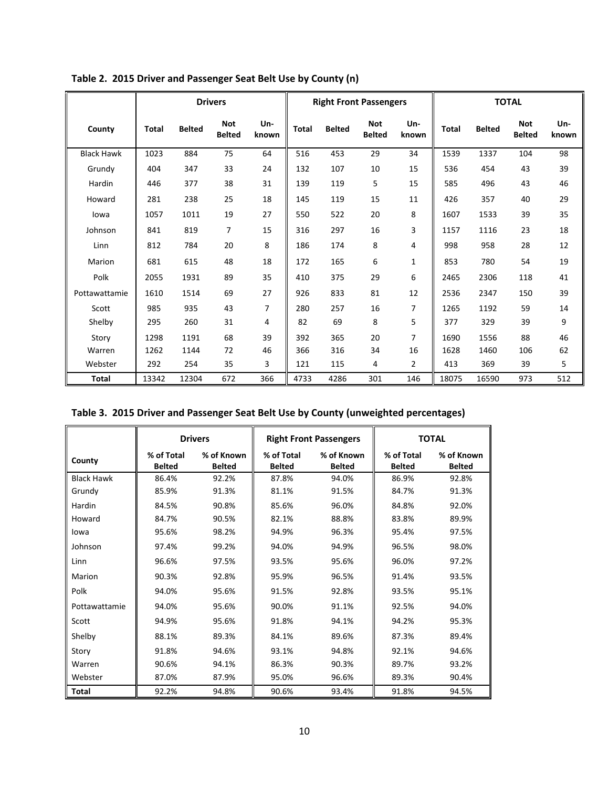|                   | <b>Drivers</b> |               |                             |                |              | <b>Right Front Passengers</b> |                             |              |              | <b>TOTAL</b>  |                             |              |  |
|-------------------|----------------|---------------|-----------------------------|----------------|--------------|-------------------------------|-----------------------------|--------------|--------------|---------------|-----------------------------|--------------|--|
| County            | Total          | <b>Belted</b> | <b>Not</b><br><b>Belted</b> | Un-<br>known   | <b>Total</b> | <b>Belted</b>                 | <b>Not</b><br><b>Belted</b> | Un-<br>known | <b>Total</b> | <b>Belted</b> | <b>Not</b><br><b>Belted</b> | Un-<br>known |  |
| <b>Black Hawk</b> | 1023           | 884           | 75                          | 64             | 516          | 453                           | 29                          | 34           | 1539         | 1337          | 104                         | 98           |  |
| Grundy            | 404            | 347           | 33                          | 24             | 132          | 107                           | 10                          | 15           | 536          | 454           | 43                          | 39           |  |
| Hardin            | 446            | 377           | 38                          | 31             | 139          | 119                           | 5                           | 15           | 585          | 496           | 43                          | 46           |  |
| Howard            | 281            | 238           | 25                          | 18             | 145          | 119                           | 15                          | 11           | 426          | 357           | 40                          | 29           |  |
| lowa              | 1057           | 1011          | 19                          | 27             | 550          | 522                           | 20                          | 8            | 1607         | 1533          | 39                          | 35           |  |
| Johnson           | 841            | 819           | $\overline{7}$              | 15             | 316          | 297                           | 16                          | 3            | 1157         | 1116          | 23                          | 18           |  |
| Linn              | 812            | 784           | 20                          | 8              | 186          | 174                           | 8                           | 4            | 998          | 958           | 28                          | 12           |  |
| Marion            | 681            | 615           | 48                          | 18             | 172          | 165                           | 6                           | $\mathbf{1}$ | 853          | 780           | 54                          | 19           |  |
| Polk              | 2055           | 1931          | 89                          | 35             | 410          | 375                           | 29                          | 6            | 2465         | 2306          | 118                         | 41           |  |
| Pottawattamie     | 1610           | 1514          | 69                          | 27             | 926          | 833                           | 81                          | 12           | 2536         | 2347          | 150                         | 39           |  |
| Scott             | 985            | 935           | 43                          | $\overline{7}$ | 280          | 257                           | 16                          | 7            | 1265         | 1192          | 59                          | 14           |  |
| Shelby            | 295            | 260           | 31                          | 4              | 82           | 69                            | 8                           | 5            | 377          | 329           | 39                          | 9            |  |
| Story             | 1298           | 1191          | 68                          | 39             | 392          | 365                           | 20                          | 7            | 1690         | 1556          | 88                          | 46           |  |
| Warren            | 1262           | 1144          | 72                          | 46             | 366          | 316                           | 34                          | 16           | 1628         | 1460          | 106                         | 62           |  |
| Webster           | 292            | 254           | 35                          | 3              | 121          | 115                           | 4                           | 2            | 413          | 369           | 39                          | 5            |  |
| <b>Total</b>      | 13342          | 12304         | 672                         | 366            | 4733         | 4286                          | 301                         | 146          | 18075        | 16590         | 973                         | 512          |  |

**Table 2. 2015 Driver and Passenger Seat Belt Use by County (n)**

| Table 3. 2015 Driver and Passenger Seat Belt Use by County (unweighted percentages) |  |
|-------------------------------------------------------------------------------------|--|
|-------------------------------------------------------------------------------------|--|

|                   | <b>Drivers</b>              |                             |                             | <b>Right Front Passengers</b> |                             | <b>TOTAL</b>                |
|-------------------|-----------------------------|-----------------------------|-----------------------------|-------------------------------|-----------------------------|-----------------------------|
| County            | % of Total<br><b>Belted</b> | % of Known<br><b>Belted</b> | % of Total<br><b>Belted</b> | % of Known<br><b>Belted</b>   | % of Total<br><b>Belted</b> | % of Known<br><b>Belted</b> |
| <b>Black Hawk</b> | 86.4%                       | 92.2%                       | 87.8%                       | 94.0%                         | 86.9%                       | 92.8%                       |
| Grundy            | 85.9%                       | 91.3%                       | 81.1%                       | 91.5%                         | 84.7%                       | 91.3%                       |
| Hardin            | 84.5%                       | 90.8%                       | 85.6%                       | 96.0%                         | 84.8%                       | 92.0%                       |
| Howard            | 84.7%                       | 90.5%                       | 82.1%                       | 88.8%                         | 83.8%                       | 89.9%                       |
| lowa              | 95.6%                       | 98.2%                       | 94.9%                       | 96.3%                         | 95.4%                       | 97.5%                       |
| Johnson           | 97.4%                       | 99.2%                       | 94.0%                       | 94.9%                         | 96.5%                       | 98.0%                       |
| Linn              | 96.6%                       | 97.5%                       | 93.5%                       | 95.6%                         | 96.0%                       | 97.2%                       |
| Marion            | 90.3%                       | 92.8%                       | 95.9%                       | 96.5%                         | 91.4%                       | 93.5%                       |
| Polk              | 94.0%                       | 95.6%                       | 91.5%                       | 92.8%                         | 93.5%                       | 95.1%                       |
| Pottawattamie     | 94.0%                       | 95.6%                       | 90.0%                       | 91.1%                         | 92.5%                       | 94.0%                       |
| Scott             | 94.9%                       | 95.6%                       | 91.8%                       | 94.1%                         | 94.2%                       | 95.3%                       |
| Shelby            | 88.1%                       | 89.3%                       | 84.1%                       | 89.6%                         | 87.3%                       | 89.4%                       |
| Story             | 91.8%                       | 94.6%                       | 93.1%                       | 94.8%                         | 92.1%                       | 94.6%                       |
| Warren            | 90.6%                       | 94.1%                       | 86.3%                       | 90.3%                         | 89.7%                       | 93.2%                       |
| Webster           | 87.0%                       | 87.9%                       | 95.0%                       | 96.6%                         | 89.3%                       | 90.4%                       |
| <b>Total</b>      | 92.2%                       | 94.8%                       | 90.6%                       | 93.4%                         | 91.8%                       | 94.5%                       |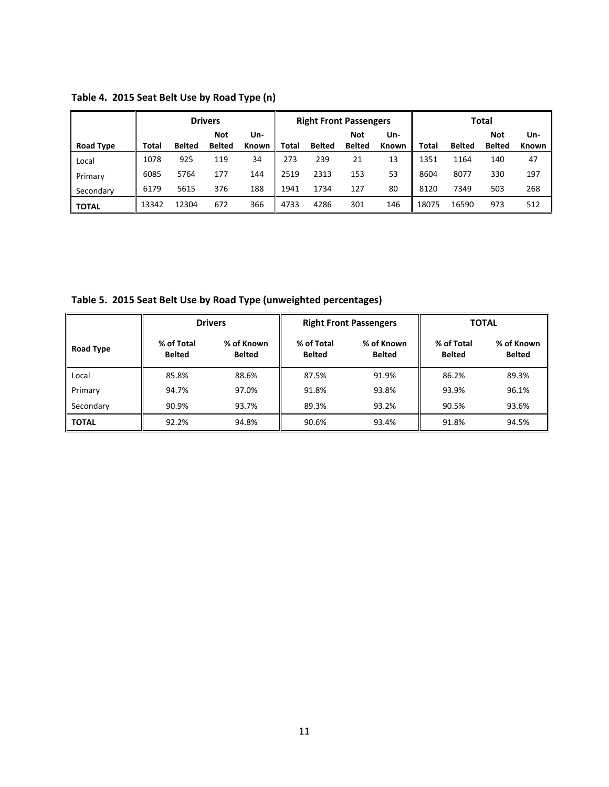|                  |       |               | <b>Drivers</b> |       | <b>Right Front Passengers</b> |               |               |       | <b>Total</b> |               |               |       |
|------------------|-------|---------------|----------------|-------|-------------------------------|---------------|---------------|-------|--------------|---------------|---------------|-------|
|                  |       |               | <b>Not</b>     | Un-   |                               |               | Not           | Un-   |              |               | Not           | Un-   |
| <b>Road Type</b> | Total | <b>Belted</b> | <b>Belted</b>  | Known | Total                         | <b>Belted</b> | <b>Belted</b> | Known | Total        | <b>Belted</b> | <b>Belted</b> | Known |
| Local            | 1078  | 925           | 119            | 34    | 273                           | 239           | 21            | 13    | l351         | 1164          | 140           | 47    |
| Primary          | 6085  | 5764          | 177            | 144   | 2519                          | 2313          | 153           | 53    | 8604         | 8077          | 330           | 197   |
| Secondary        | 6179  | 5615          | 376            | 188   | 1941                          | 1734          | 127           | 80    | 8120         | 7349          | 503           | 268   |
| <b>TOTAL</b>     | 13342 | 12304         | 672            | 366   | 4733                          | 4286          | 301           | 146   | 18075        | 16590         | 973           | 512   |

**Table 4. 2015 Seat Belt Use by Road Type (n)**

**Table 5. 2015 Seat Belt Use by Road Type (unweighted percentages)**

|                  |                                                            | <b>Drivers</b> |                             | <b>Right Front Passengers</b> | <b>TOTAL</b>                |                      |  |
|------------------|------------------------------------------------------------|----------------|-----------------------------|-------------------------------|-----------------------------|----------------------|--|
| <b>Road Type</b> | % of Total<br>% of Known<br><b>Belted</b><br><b>Belted</b> |                | % of Total<br><b>Belted</b> | % of Known<br><b>Belted</b>   | % of Total<br><b>Belted</b> | % of Known<br>Belted |  |
| Local            | 85.8%                                                      | 88.6%          | 87.5%                       | 91.9%                         | 86.2%                       | 89.3%                |  |
| Primary          | 94.7%                                                      | 97.0%          | 91.8%                       | 93.8%                         | 93.9%                       | 96.1%                |  |
| Secondary        | 90.9%                                                      | 93.7%          | 89.3%                       | 93.2%                         | 90.5%                       | 93.6%                |  |
| <b>TOTAL</b>     | 92.2%                                                      | 94.8%          | 90.6%                       | 93.4%                         | 91.8%                       | 94.5%                |  |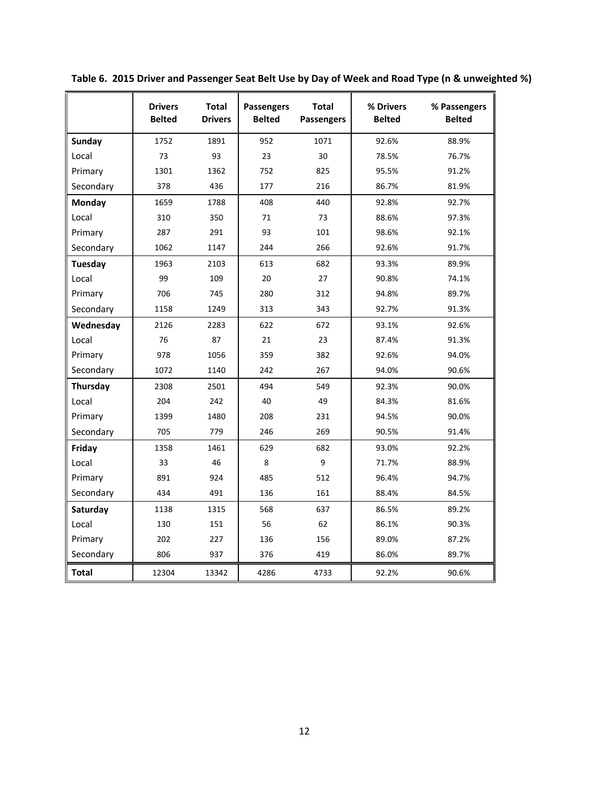|               | <b>Drivers</b><br><b>Belted</b> | <b>Total</b><br><b>Drivers</b> | Passengers<br><b>Belted</b> | <b>Total</b><br><b>Passengers</b> | % Drivers<br><b>Belted</b> | % Passengers<br><b>Belted</b> |
|---------------|---------------------------------|--------------------------------|-----------------------------|-----------------------------------|----------------------------|-------------------------------|
| <b>Sunday</b> | 1752                            | 1891                           | 952                         | 1071                              | 92.6%                      | 88.9%                         |
| Local         | 73                              | 93                             | 23                          | 30                                | 78.5%                      | 76.7%                         |
| Primary       | 1301                            | 1362                           | 752                         | 825                               | 95.5%                      | 91.2%                         |
| Secondary     | 378                             | 436                            | 177                         | 216                               | 86.7%                      | 81.9%                         |
| Monday        | 1659                            | 1788                           | 408                         | 440                               | 92.8%                      | 92.7%                         |
| Local         | 310                             | 350                            | 71                          | 73                                | 88.6%                      | 97.3%                         |
| Primary       | 287                             | 291                            | 93                          | 101                               | 98.6%                      | 92.1%                         |
| Secondary     | 1062                            | 1147                           | 244                         | 266                               | 92.6%                      | 91.7%                         |
| Tuesday       | 1963                            | 2103                           | 613                         | 682                               | 93.3%                      | 89.9%                         |
| Local         | 99                              | 109                            | 20                          | 27                                | 90.8%                      | 74.1%                         |
| Primary       | 706                             | 745                            | 280                         | 312                               | 94.8%                      | 89.7%                         |
| Secondary     | 1158                            | 1249                           | 313                         | 343                               | 92.7%                      | 91.3%                         |
| Wednesday     | 2126                            | 2283                           | 622                         | 672                               | 93.1%                      | 92.6%                         |
| Local         | 76                              | 87                             | 21                          | 23                                | 87.4%                      | 91.3%                         |
| Primary       | 978                             | 1056                           | 359                         | 382                               | 92.6%                      | 94.0%                         |
| Secondary     | 1072                            | 1140                           | 242                         | 267                               | 94.0%                      | 90.6%                         |
| Thursday      | 2308                            | 2501                           | 494                         | 549                               | 92.3%                      | 90.0%                         |
| Local         | 204                             | 242                            | 40                          | 49                                | 84.3%                      | 81.6%                         |
| Primary       | 1399                            | 1480                           | 208                         | 231                               | 94.5%                      | 90.0%                         |
| Secondary     | 705                             | 779                            | 246                         | 269                               | 90.5%                      | 91.4%                         |
| Friday        | 1358                            | 1461                           | 629                         | 682                               | 93.0%                      | 92.2%                         |
| Local         | 33                              | 46                             | 8                           | 9                                 | 71.7%                      | 88.9%                         |
| Primary       | 891                             | 924                            | 485                         | 512                               | 96.4%                      | 94.7%                         |
| Secondary     | 434                             | 491                            | 136                         | 161                               | 88.4%                      | 84.5%                         |
| Saturday      | 1138                            | 1315                           | 568                         | 637                               | 86.5%                      | 89.2%                         |
| Local         | 130                             | 151                            | 56                          | 62                                | 86.1%                      | 90.3%                         |
| Primary       | 202                             | 227                            | 136                         | 156                               | 89.0%                      | 87.2%                         |
| Secondary     | 806                             | 937                            | 376                         | 419                               | 86.0%                      | 89.7%                         |
| <b>Total</b>  | 12304                           | 13342                          | 4286                        | 4733                              | 92.2%                      | 90.6%                         |

**Table 6. 2015 Driver and Passenger Seat Belt Use by Day of Week and Road Type (n & unweighted %)**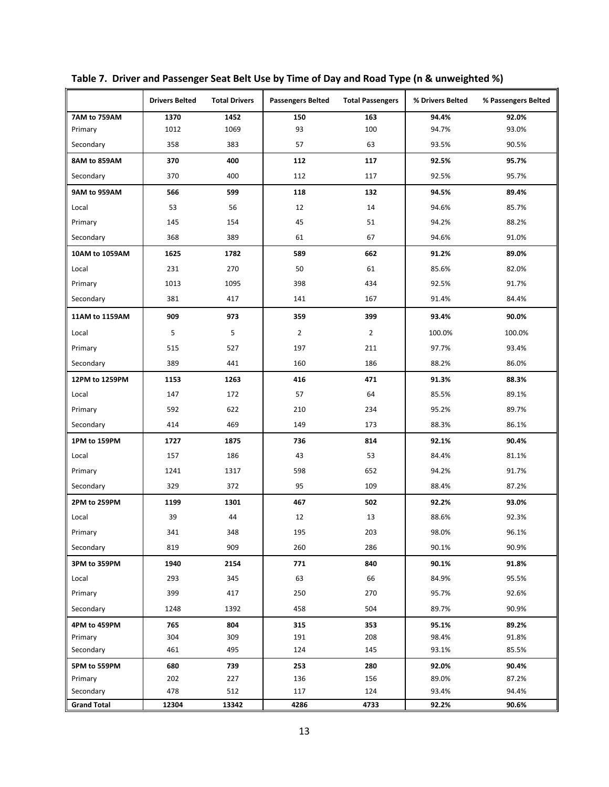|                    | <b>Drivers Belted</b> | <b>Total Drivers</b> | <b>Passengers Belted</b> | <b>Total Passengers</b> | % Drivers Belted | % Passengers Belted |
|--------------------|-----------------------|----------------------|--------------------------|-------------------------|------------------|---------------------|
| 7AM to 759AM       | 1370                  | 1452                 | 150                      | 163                     | 94.4%            | 92.0%               |
| Primary            | 1012                  | 1069                 | 93                       | 100                     | 94.7%            | 93.0%               |
| Secondary          | 358                   | 383                  | 57                       | 63                      | 93.5%            | 90.5%               |
| 8AM to 859AM       | 370                   | 400                  | 112                      | 117                     | 92.5%            | 95.7%               |
| Secondary          | 370                   | 400                  | 112                      | 117                     | 92.5%            | 95.7%               |
| 9AM to 959AM       | 566                   | 599                  | 118                      | 132                     | 94.5%            | 89.4%               |
| Local              | 53                    | 56                   | 12                       | 14                      | 94.6%            | 85.7%               |
| Primary            | 145                   | 154                  | 45                       | 51                      |                  | 88.2%               |
| Secondary          | 368                   | 389                  | 61                       | 67                      | 94.6%            | 91.0%               |
| 10AM to 1059AM     | 1625                  | 1782                 | 589                      | 662                     | 91.2%            | 89.0%               |
| Local              | 231                   | 270                  | 50                       | 61                      | 85.6%            | 82.0%               |
| Primary            | 1013                  | 1095                 | 398                      | 434                     | 92.5%            | 91.7%               |
| Secondary          | 381                   | 417                  | 141                      | 167                     | 91.4%            | 84.4%               |
| 11AM to 1159AM     | 909                   | 973                  | 359                      | 399                     | 93.4%            | 90.0%               |
| Local              | 5                     | 5                    | $\overline{2}$           | $\overline{2}$          | 100.0%           | 100.0%              |
| Primary            | 515                   | 527                  | 197                      | 211                     | 97.7%            | 93.4%               |
| Secondary          | 389                   | 441                  | 160                      | 186                     | 88.2%            | 86.0%               |
| 12PM to 1259PM     | 1153                  | 1263                 | 416                      | 471                     | 91.3%            | 88.3%               |
| Local              | 147                   | 172                  | 57                       | 64                      | 85.5%            | 89.1%               |
| Primary            | 592                   | 622                  | 210                      | 234                     | 95.2%            | 89.7%               |
| Secondary          | 414                   | 469                  | 149                      | 173                     | 88.3%            | 86.1%               |
| 1PM to 159PM       | 1727                  | 1875                 | 736                      | 814                     | 92.1%            | 90.4%               |
| Local              | 157                   | 186                  | 43                       | 53                      | 84.4%            | 81.1%               |
| Primary            | 1241                  | 1317                 | 598                      | 652                     | 94.2%            | 91.7%               |
| Secondary          | 329                   | 372                  | 95                       | 109                     | 88.4%            | 87.2%               |
| 2PM to 259PM       | 1199                  | 1301                 | 467                      | 502                     | 92.2%            | 93.0%               |
| Local              | 39                    | 44                   | 12                       | 13                      | 88.6%            | 92.3%               |
| Primary            | 341                   | 348                  | 195                      | 203                     | 98.0%            | 96.1%               |
| Secondary          | 819                   | 909                  | 260                      | 286                     | 90.1%            | 90.9%               |
| 3PM to 359PM       | 1940                  | 2154                 | 771                      | 840                     | 90.1%            | 91.8%               |
| Local              | 293                   | 345                  | 63                       | 66                      | 84.9%            | 95.5%               |
| Primary            | 399                   | 417                  | 250                      | 270                     | 95.7%            | 92.6%               |
| Secondary          | 1248                  | 1392                 | 458                      | 504                     | 89.7%            | 90.9%               |
| 4PM to 459PM       | 765                   | 804                  | 315                      | 353                     | 95.1%            | 89.2%               |
| Primary            | 304                   | 309                  | 191                      | 208                     | 98.4%            | 91.8%               |
| Secondary          | 461                   | 495                  | 124                      | 145                     | 93.1%            | 85.5%               |
| 5PM to 559PM       | 680                   | 739                  | 253                      | 280                     | 92.0%            | 90.4%               |
| Primary            | 202                   | 227                  | 136                      | 156                     | 89.0%            | 87.2%               |
| Secondary          | 478                   | 512                  | 117                      | 124                     | 93.4%            | 94.4%               |
| <b>Grand Total</b> | 12304                 | 13342                | 4286                     | 4733                    | 92.2%            | 90.6%               |

**Table 7. Driver and Passenger Seat Belt Use by Time of Day and Road Type (n & unweighted %)**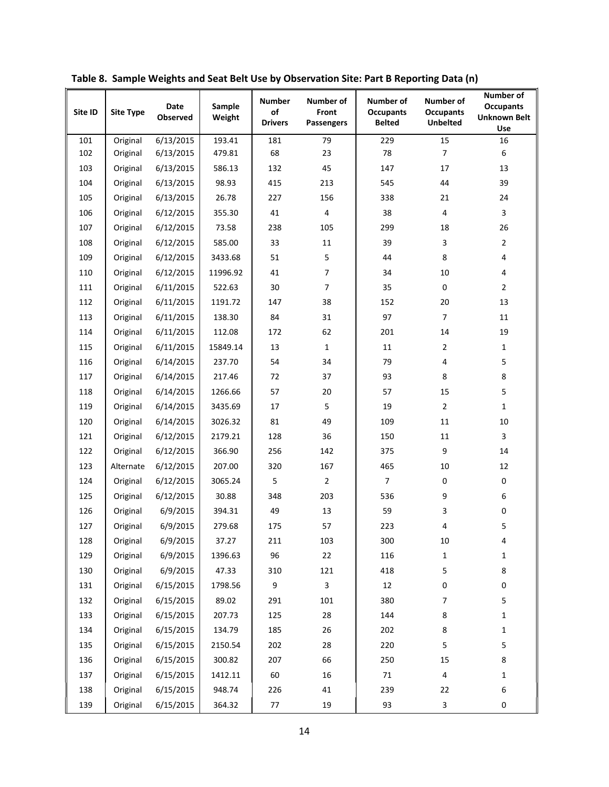| Site ID | <b>Site Type</b> | <b>Date</b><br>Observed | Sample<br>Weight | <b>Number</b><br>of<br><b>Drivers</b> | Number of<br>Front<br><b>Passengers</b> | <b>Number of</b><br><b>Occupants</b><br><b>Belted</b> | <b>Number of</b><br><b>Occupants</b><br><b>Unbelted</b> | Number of<br><b>Occupants</b><br><b>Unknown Belt</b><br>Use |
|---------|------------------|-------------------------|------------------|---------------------------------------|-----------------------------------------|-------------------------------------------------------|---------------------------------------------------------|-------------------------------------------------------------|
| 101     | Original         | 6/13/2015               | 193.41           | 181                                   | 79                                      | 229                                                   | 15                                                      | 16                                                          |
| 102     | Original         | 6/13/2015               | 479.81           | 68                                    | 23                                      | 78                                                    | $\overline{7}$                                          | 6                                                           |
| 103     | Original         | 6/13/2015               | 586.13           | 132                                   | 45                                      | 147                                                   | 17                                                      | 13                                                          |
| 104     | Original         | 6/13/2015               | 98.93            | 415                                   | 213                                     | 545                                                   | 44                                                      | 39                                                          |
| 105     | Original         | 6/13/2015               | 26.78            | 227                                   | 156                                     | 338                                                   | 21                                                      | 24                                                          |
| 106     | Original         | 6/12/2015               | 355.30           | 41                                    | 4                                       | 38                                                    | 4                                                       | 3                                                           |
| 107     | Original         | 6/12/2015               | 73.58            | 238                                   | 105                                     | 299                                                   | 18                                                      | 26                                                          |
| 108     | Original         | 6/12/2015               | 585.00           | 33                                    | 11                                      | 39                                                    | 3                                                       | $\overline{2}$                                              |
| 109     | Original         | 6/12/2015               | 3433.68          | 51                                    | 5                                       | 44                                                    | 8                                                       | 4                                                           |
| 110     | Original         | 6/12/2015               | 11996.92         | 41                                    | $\overline{7}$                          | 34                                                    | $10\,$                                                  | 4                                                           |
| 111     | Original         | 6/11/2015               | 522.63           | 30                                    | $\overline{7}$                          | 35                                                    | 0                                                       | $\overline{2}$                                              |
| 112     | Original         | 6/11/2015               | 1191.72          | 147                                   | 38                                      | 152                                                   | $20\,$                                                  | 13                                                          |
| 113     | Original         | 6/11/2015               | 138.30           | 84                                    | 31                                      | 97                                                    | $\overline{7}$                                          | 11                                                          |
| 114     | Original         | 6/11/2015               | 112.08           | 172                                   | 62                                      | 201                                                   | 14                                                      | 19                                                          |
| 115     | Original         | 6/11/2015               | 15849.14         | 13                                    | $\mathbf{1}$                            | 11                                                    | $\overline{2}$                                          | $\mathbf{1}$                                                |
| 116     | Original         | 6/14/2015               | 237.70           | 54                                    | 34                                      | 79                                                    | 4                                                       | 5                                                           |
| 117     | Original         | 6/14/2015               | 217.46           | 72                                    | 37                                      | 93                                                    | 8                                                       | $\,8\,$                                                     |
| 118     | Original         | 6/14/2015               | 1266.66          | 57                                    | 20                                      | 57                                                    | 15                                                      | 5                                                           |
| 119     | Original         | 6/14/2015               | 3435.69          | 17                                    | 5                                       | 19                                                    | $\overline{2}$                                          | 1                                                           |
| 120     | Original         | 6/14/2015               | 3026.32          | 81                                    | 49                                      | 109                                                   | 11                                                      | 10                                                          |
| 121     | Original         | 6/12/2015               | 2179.21          | 128                                   | 36                                      | 150                                                   | 11                                                      | 3                                                           |
| 122     | Original         | 6/12/2015               | 366.90           | 256                                   | 142                                     | 375                                                   | 9                                                       | 14                                                          |
| 123     | Alternate        | 6/12/2015               | 207.00           | 320                                   | 167                                     | 465                                                   | $10\,$                                                  | 12                                                          |
| 124     | Original         | 6/12/2015               | 3065.24          | 5                                     | $\overline{2}$                          | $\overline{7}$                                        | $\pmb{0}$                                               | $\pmb{0}$                                                   |
| 125     | Original         | 6/12/2015               | 30.88            | 348                                   | 203                                     | 536                                                   | 9                                                       | 6                                                           |
| 126     | Original         | 6/9/2015                | 394.31           | 49                                    | 13                                      | 59                                                    | 3                                                       | $\pmb{0}$                                                   |
| 127     | Original         | 6/9/2015                | 279.68           | 175                                   | 57                                      | 223                                                   | 4                                                       | 5                                                           |
| 128     | Original         | 6/9/2015                | 37.27            | 211                                   | 103                                     | 300                                                   | $10\,$                                                  | 4                                                           |
| 129     | Original         | 6/9/2015                | 1396.63          | 96                                    | 22                                      | 116                                                   | $\mathbf{1}$                                            | $\mathbf{1}$                                                |
| 130     | Original         | 6/9/2015                | 47.33            | 310                                   | 121                                     | 418                                                   | 5                                                       | $\,8\,$                                                     |
| 131     | Original         | 6/15/2015               | 1798.56          | 9                                     | 3                                       | 12                                                    | $\pmb{0}$                                               | $\pmb{0}$                                                   |
| 132     | Original         | 6/15/2015               | 89.02            | 291                                   | 101                                     | 380                                                   | 7                                                       | 5                                                           |
| 133     | Original         | 6/15/2015               | 207.73           | 125                                   | 28                                      | 144                                                   | 8                                                       | $\mathbf{1}$                                                |
| 134     | Original         | 6/15/2015               | 134.79           | 185                                   | 26                                      | 202                                                   | 8                                                       | $\mathbf{1}$                                                |
| 135     | Original         | 6/15/2015               | 2150.54          | 202                                   | 28                                      | 220                                                   | 5                                                       | 5                                                           |
| 136     | Original         | 6/15/2015               | 300.82           | 207                                   | 66                                      | 250                                                   | 15                                                      | 8                                                           |
| 137     | Original         | 6/15/2015               | 1412.11          | 60                                    | 16                                      | 71                                                    | 4                                                       | $\mathbf{1}$                                                |
| 138     | Original         | 6/15/2015               | 948.74           | 226                                   | 41                                      | 239                                                   | 22                                                      | 6                                                           |
| 139     | Original         | 6/15/2015               | 364.32           | 77                                    | 19                                      | 93                                                    | 3                                                       | 0                                                           |

**Table 8. Sample Weights and Seat Belt Use by Observation Site: Part B Reporting Data (n)**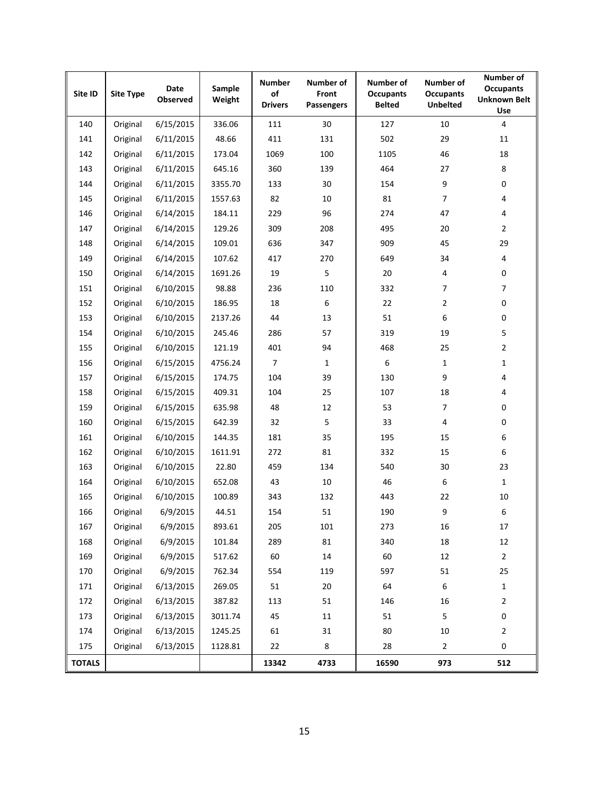| Site ID       | <b>Site Type</b> | Date<br>Observed | Sample<br>Weight | <b>Number</b><br>of<br><b>Drivers</b> | Number of<br>Front<br><b>Passengers</b> | <b>Number of</b><br><b>Occupants</b><br><b>Belted</b> | Number of<br><b>Occupants</b><br><b>Unbelted</b> | Number of<br><b>Occupants</b><br><b>Unknown Belt</b><br>Use |
|---------------|------------------|------------------|------------------|---------------------------------------|-----------------------------------------|-------------------------------------------------------|--------------------------------------------------|-------------------------------------------------------------|
| 140           | Original         | 6/15/2015        | 336.06           | 111                                   | 30                                      | 127                                                   | 10                                               | $\overline{4}$                                              |
| 141           | Original         | 6/11/2015        | 48.66            | 411                                   | 131                                     | 502                                                   | 29                                               | 11                                                          |
| 142           | Original         | 6/11/2015        | 173.04           | 1069                                  | 100                                     | 1105                                                  | 46                                               | 18                                                          |
| 143           | Original         | 6/11/2015        | 645.16           | 360                                   | 139                                     | 464                                                   | 27                                               | 8                                                           |
| 144           | Original         | 6/11/2015        | 3355.70          | 133                                   | 30                                      | 154                                                   | $\boldsymbol{9}$                                 | 0                                                           |
| 145           | Original         | 6/11/2015        | 1557.63          | 82                                    | 10                                      | 81                                                    | 7                                                | 4                                                           |
| 146           | Original         | 6/14/2015        | 184.11           | 229                                   | 96                                      | 274                                                   | 47                                               | 4                                                           |
| 147           | Original         | 6/14/2015        | 129.26           | 309                                   | 208                                     | 495                                                   | 20                                               | $\overline{2}$                                              |
| 148           | Original         | 6/14/2015        | 109.01           | 636                                   | 347                                     | 909                                                   | 45                                               | 29                                                          |
| 149           | Original         | 6/14/2015        | 107.62           | 417                                   | 270                                     | 649                                                   | 34                                               | 4                                                           |
| 150           | Original         | 6/14/2015        | 1691.26          | 19                                    | 5                                       | 20                                                    | 4                                                | 0                                                           |
| 151           | Original         | 6/10/2015        | 98.88            | 236                                   | 110                                     | 332                                                   | $\overline{7}$                                   | $\overline{7}$                                              |
| 152           | Original         | 6/10/2015        | 186.95           | 18                                    | 6                                       | 22                                                    | $\overline{2}$                                   | 0                                                           |
| 153           | Original         | 6/10/2015        | 2137.26          | 44                                    | 13                                      | 51                                                    | 6                                                | 0                                                           |
| 154           | Original         | 6/10/2015        | 245.46           | 286                                   | 57                                      | 319                                                   | 19                                               | 5                                                           |
| 155           | Original         | 6/10/2015        | 121.19           | 401                                   | 94                                      | 468                                                   | 25                                               | $\overline{c}$                                              |
| 156           | Original         | 6/15/2015        | 4756.24          | 7                                     | 1                                       | 6                                                     | $\mathbf{1}$                                     | $\mathbf{1}$                                                |
| 157           | Original         | 6/15/2015        | 174.75           | 104                                   | 39                                      | 130                                                   | $\boldsymbol{9}$                                 | 4                                                           |
| 158           | Original         | 6/15/2015        | 409.31           | 104                                   | 25                                      | 107                                                   | 18                                               | 4                                                           |
| 159           | Original         | 6/15/2015        | 635.98           | 48                                    | 12                                      | 53                                                    | $\overline{7}$                                   | 0                                                           |
| 160           | Original         | 6/15/2015        | 642.39           | 32                                    | 5                                       | 33                                                    | 4                                                | 0                                                           |
| 161           | Original         | 6/10/2015        | 144.35           | 181                                   | 35                                      | 195                                                   | 15                                               | 6                                                           |
| 162           | Original         | 6/10/2015        | 1611.91          | 272                                   | 81                                      | 332                                                   | 15                                               | 6                                                           |
| 163           | Original         | 6/10/2015        | 22.80            | 459                                   | 134                                     | 540                                                   | 30                                               | 23                                                          |
| 164           | Original         | 6/10/2015        | 652.08           | 43                                    | 10                                      | 46                                                    | 6                                                | $\mathbf{1}$                                                |
| 165           | Original         | 6/10/2015        | 100.89           | 343                                   | 132                                     | 443                                                   | 22                                               | 10                                                          |
| 166           | Original         | 6/9/2015         | 44.51            | 154                                   | 51                                      | 190                                                   | 9                                                | 6                                                           |
| 167           | Original         | 6/9/2015         | 893.61           | 205                                   | 101                                     | 273                                                   | 16                                               | 17                                                          |
| 168           | Original         | 6/9/2015         | 101.84           | 289                                   | 81                                      | 340                                                   | 18                                               | 12                                                          |
| 169           | Original         | 6/9/2015         | 517.62           | 60                                    | 14                                      | 60                                                    | 12                                               | $\overline{2}$                                              |
| 170           | Original         | 6/9/2015         | 762.34           | 554                                   | 119                                     | 597                                                   | 51                                               | 25                                                          |
| 171           | Original         | 6/13/2015        | 269.05           | 51                                    | 20                                      | 64                                                    | 6                                                | $\mathbf{1}$                                                |
| 172           | Original         | 6/13/2015        | 387.82           | 113                                   | 51                                      | 146                                                   | 16                                               | $\mathbf{2}$                                                |
| 173           | Original         | 6/13/2015        | 3011.74          | 45                                    | 11                                      | 51                                                    | $\mathsf S$                                      | 0                                                           |
| 174           | Original         | 6/13/2015        | 1245.25          | 61                                    | 31                                      | 80                                                    | $10\,$                                           | $\overline{2}$                                              |
| 175           | Original         | 6/13/2015        | 1128.81          | 22                                    | 8                                       | 28                                                    | $\overline{2}$                                   | 0                                                           |
| <b>TOTALS</b> |                  |                  |                  | 13342                                 | 4733                                    | 16590                                                 | 973                                              | 512                                                         |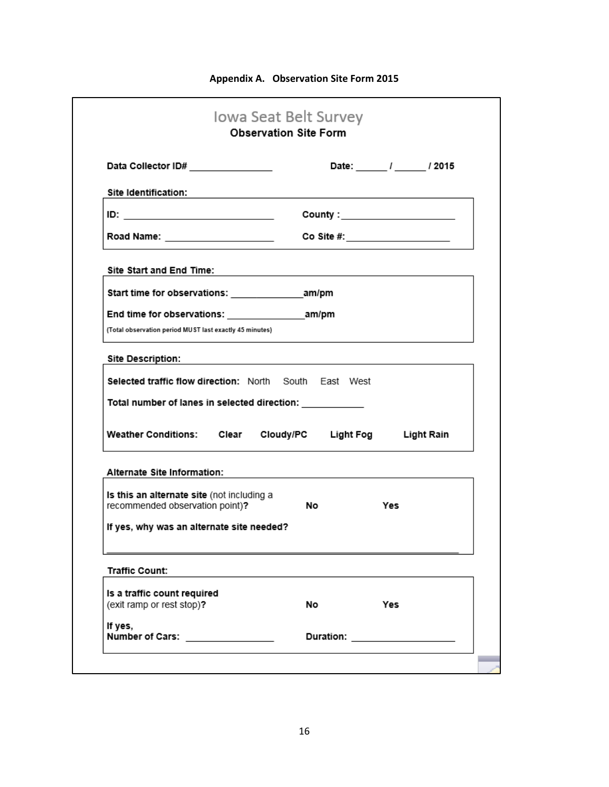| <b>Appendix A. Observation Site Form 2015</b> |  |  |
|-----------------------------------------------|--|--|
|-----------------------------------------------|--|--|

| Data Collector ID# ________________                                                                                                | Date: / / / 2015                                                                                                       |
|------------------------------------------------------------------------------------------------------------------------------------|------------------------------------------------------------------------------------------------------------------------|
| Site Identification:                                                                                                               | <u> 1989 - Johann John Stein, mars et al. 1989 - John Stein, mars et al. 1989 - John Stein, mars et al. 1989 - Joh</u> |
| <u>ID: ________________________</u>                                                                                                | County : ______________________                                                                                        |
| Road Name: ______________________                                                                                                  | Co Site #: $\qquad \qquad \qquad$                                                                                      |
| Site Start and End Time:                                                                                                           |                                                                                                                        |
|                                                                                                                                    |                                                                                                                        |
|                                                                                                                                    |                                                                                                                        |
| (Total observation period MUST last exactly 45 minutes)                                                                            |                                                                                                                        |
|                                                                                                                                    |                                                                                                                        |
|                                                                                                                                    | the control of the control of the control of the control of the control of the control of                              |
|                                                                                                                                    |                                                                                                                        |
|                                                                                                                                    |                                                                                                                        |
| <b>Site Description:</b><br>Selected traffic flow direction: North South East West<br>Total number of lanes in selected direction: |                                                                                                                        |
|                                                                                                                                    | Weather Conditions: Clear Cloudy/PC Light Fog Light Rain                                                               |
|                                                                                                                                    |                                                                                                                        |
| Alternate Site Information:<br>Is this an alternate site (not including a                                                          |                                                                                                                        |
| recommended observation point)?                                                                                                    | No.<br>Yes                                                                                                             |
| If yes, why was an alternate site needed?                                                                                          |                                                                                                                        |
|                                                                                                                                    |                                                                                                                        |
| <b>Traffic Count:</b>                                                                                                              |                                                                                                                        |
| Is a traffic count required<br>(exit ramp or rest stop)?                                                                           | No.<br>Yes                                                                                                             |